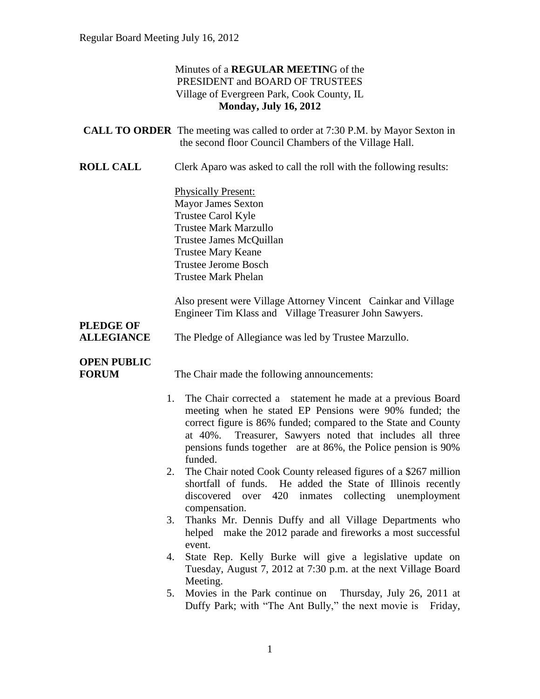#### Minutes of a **REGULAR MEETIN**G of the PRESIDENT and BOARD OF TRUSTEES Village of Evergreen Park, Cook County, IL **Monday, July 16, 2012**

|                                    | <b>CALL TO ORDER</b> The meeting was called to order at 7:30 P.M. by Mayor Sexton in<br>the second floor Council Chambers of the Village Hall.                                                                                                                                                                                      |
|------------------------------------|-------------------------------------------------------------------------------------------------------------------------------------------------------------------------------------------------------------------------------------------------------------------------------------------------------------------------------------|
| <b>ROLL CALL</b>                   | Clerk Aparo was asked to call the roll with the following results:                                                                                                                                                                                                                                                                  |
|                                    | <b>Physically Present:</b><br><b>Mayor James Sexton</b><br>Trustee Carol Kyle<br><b>Trustee Mark Marzullo</b><br>Trustee James McQuillan<br><b>Trustee Mary Keane</b><br><b>Trustee Jerome Bosch</b><br><b>Trustee Mark Phelan</b>                                                                                                  |
| <b>PLEDGE OF</b>                   | Also present were Village Attorney Vincent Cainkar and Village<br>Engineer Tim Klass and Village Treasurer John Sawyers.                                                                                                                                                                                                            |
| <b>ALLEGIANCE</b>                  | The Pledge of Allegiance was led by Trustee Marzullo.                                                                                                                                                                                                                                                                               |
| <b>OPEN PUBLIC</b><br><b>FORUM</b> | The Chair made the following announcements:                                                                                                                                                                                                                                                                                         |
| 1.                                 | The Chair corrected a statement he made at a previous Board<br>meeting when he stated EP Pensions were 90% funded; the<br>correct figure is 86% funded; compared to the State and County<br>Treasurer, Sawyers noted that includes all three<br>at 40%.<br>pensions funds together are at 86%, the Police pension is 90%<br>funded. |
| 2.                                 | The Chair noted Cook County released figures of a \$267 million<br>shortfall of funds. He added the State of Illinois recently<br>420<br>inmates<br>collecting<br>unemployment<br>discovered over<br>compensation.                                                                                                                  |
| 3.                                 | Thanks Mr. Dennis Duffy and all Village Departments who<br>helped make the 2012 parade and fireworks a most successful<br>event.                                                                                                                                                                                                    |
| 4.                                 | State Rep. Kelly Burke will give a legislative update on<br>Tuesday, August 7, 2012 at 7:30 p.m. at the next Village Board<br>Meeting.                                                                                                                                                                                              |
|                                    | Movies in the Park continue on Thursday, July 26, 2011 at<br>5.<br>Duffy Park; with "The Ant Bully," the next movie is Friday,                                                                                                                                                                                                      |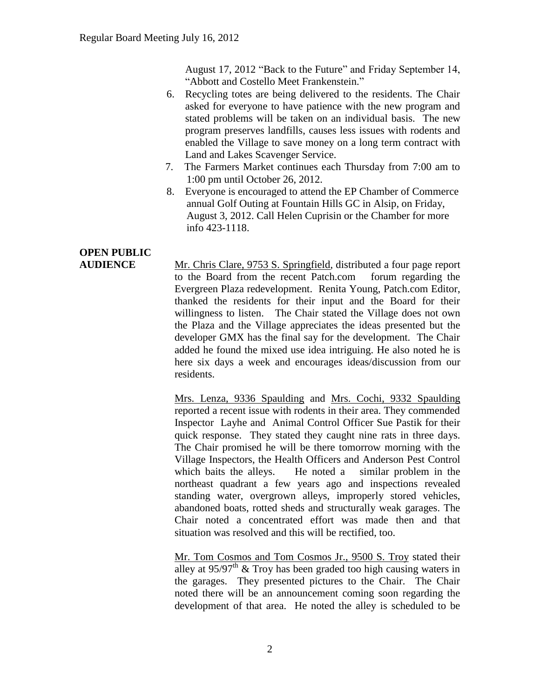August 17, 2012 "Back to the Future" and Friday September 14, "Abbott and Costello Meet Frankenstein."

- 6. Recycling totes are being delivered to the residents. The Chair asked for everyone to have patience with the new program and stated problems will be taken on an individual basis. The new program preserves landfills, causes less issues with rodents and enabled the Village to save money on a long term contract with Land and Lakes Scavenger Service.
- 7. The Farmers Market continues each Thursday from 7:00 am to 1:00 pm until October 26, 2012.
- 8. Everyone is encouraged to attend the EP Chamber of Commerce annual Golf Outing at Fountain Hills GC in Alsip, on Friday, August 3, 2012. Call Helen Cuprisin or the Chamber for more info 423-1118.

## **OPEN PUBLIC**

**AUDIENCE** Mr. Chris Clare, 9753 S. Springfield, distributed a four page report to the Board from the recent Patch.com forum regarding the Evergreen Plaza redevelopment. Renita Young, Patch.com Editor, thanked the residents for their input and the Board for their willingness to listen. The Chair stated the Village does not own the Plaza and the Village appreciates the ideas presented but the developer GMX has the final say for the development. The Chair added he found the mixed use idea intriguing. He also noted he is here six days a week and encourages ideas/discussion from our residents.

> Mrs. Lenza, 9336 Spaulding and Mrs. Cochi, 9332 Spaulding reported a recent issue with rodents in their area. They commended Inspector Layhe and Animal Control Officer Sue Pastik for their quick response. They stated they caught nine rats in three days. The Chair promised he will be there tomorrow morning with the Village Inspectors, the Health Officers and Anderson Pest Control which baits the alleys. He noted a similar problem in the northeast quadrant a few years ago and inspections revealed standing water, overgrown alleys, improperly stored vehicles, abandoned boats, rotted sheds and structurally weak garages. The Chair noted a concentrated effort was made then and that situation was resolved and this will be rectified, too.

> Mr. Tom Cosmos and Tom Cosmos Jr., 9500 S. Troy stated their alley at  $95/97$ <sup>th</sup> & Troy has been graded too high causing waters in the garages. They presented pictures to the Chair. The Chair noted there will be an announcement coming soon regarding the development of that area. He noted the alley is scheduled to be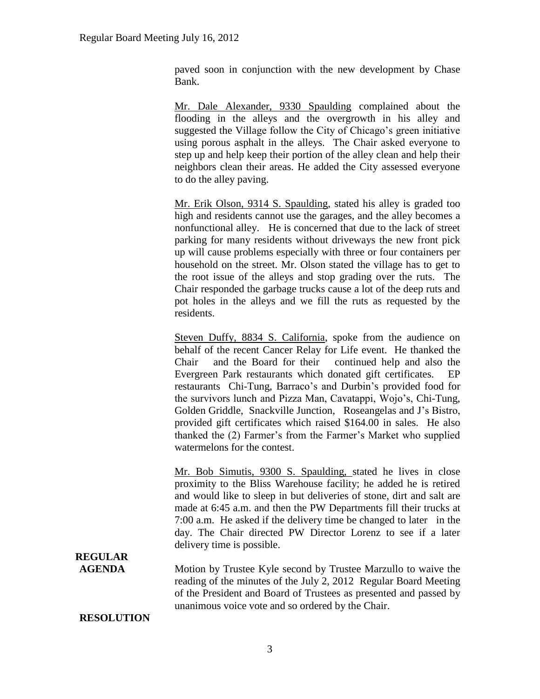paved soon in conjunction with the new development by Chase Bank.

Mr. Dale Alexander, 9330 Spaulding complained about the flooding in the alleys and the overgrowth in his alley and suggested the Village follow the City of Chicago's green initiative using porous asphalt in the alleys. The Chair asked everyone to step up and help keep their portion of the alley clean and help their neighbors clean their areas. He added the City assessed everyone to do the alley paving.

Mr. Erik Olson, 9314 S. Spaulding, stated his alley is graded too high and residents cannot use the garages, and the alley becomes a nonfunctional alley. He is concerned that due to the lack of street parking for many residents without driveways the new front pick up will cause problems especially with three or four containers per household on the street. Mr. Olson stated the village has to get to the root issue of the alleys and stop grading over the ruts. The Chair responded the garbage trucks cause a lot of the deep ruts and pot holes in the alleys and we fill the ruts as requested by the residents.

Steven Duffy, 8834 S. California, spoke from the audience on behalf of the recent Cancer Relay for Life event. He thanked the Chair and the Board for their continued help and also the Evergreen Park restaurants which donated gift certificates. EP restaurants Chi-Tung, Barraco's and Durbin's provided food for the survivors lunch and Pizza Man, Cavatappi, Wojo's, Chi-Tung, Golden Griddle, Snackville Junction, Roseangelas and J's Bistro, provided gift certificates which raised \$164.00 in sales. He also thanked the (2) Farmer's from the Farmer's Market who supplied watermelons for the contest.

Mr. Bob Simutis, 9300 S. Spaulding, stated he lives in close proximity to the Bliss Warehouse facility; he added he is retired and would like to sleep in but deliveries of stone, dirt and salt are made at 6:45 a.m. and then the PW Departments fill their trucks at 7:00 a.m. He asked if the delivery time be changed to later in the day. The Chair directed PW Director Lorenz to see if a later delivery time is possible.

## **REGULAR**

**AGENDA** Motion by Trustee Kyle second by Trustee Marzullo to waive the reading of the minutes of the July 2, 2012 Regular Board Meeting of the President and Board of Trustees as presented and passed by unanimous voice vote and so ordered by the Chair.

#### **RESOLUTION**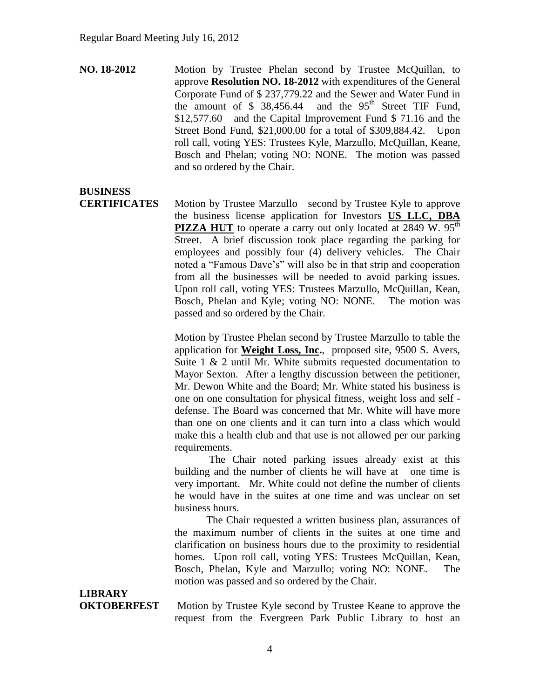**NO. 18-2012** Motion by Trustee Phelan second by Trustee McQuillan, to approve **Resolution NO. 18-2012** with expenditures of the General Corporate Fund of \$ 237,779.22 and the Sewer and Water Fund in the amount of  $$38,456.44$  and the  $95<sup>th</sup>$  Street TIF Fund, \$12,577.60 and the Capital Improvement Fund \$ 71.16 and the Street Bond Fund, \$21,000.00 for a total of \$309,884.42. Upon roll call, voting YES: Trustees Kyle, Marzullo, McQuillan, Keane, Bosch and Phelan; voting NO: NONE. The motion was passed and so ordered by the Chair.

## **BUSINESS**

**CERTIFICATES** Motion by Trustee Marzullo second by Trustee Kyle to approve the business license application for Investors **US LLC, DBA PIZZA HUT** to operate a carry out only located at 2849 W. 95<sup>th</sup> Street. A brief discussion took place regarding the parking for employees and possibly four (4) delivery vehicles. The Chair noted a "Famous Dave's" will also be in that strip and cooperation from all the businesses will be needed to avoid parking issues. Upon roll call, voting YES: Trustees Marzullo, McQuillan, Kean, Bosch, Phelan and Kyle; voting NO: NONE. The motion was passed and so ordered by the Chair.

> Motion by Trustee Phelan second by Trustee Marzullo to table the application for **Weight Loss, Inc.**, proposed site, 9500 S. Avers, Suite 1 & 2 until Mr. White submits requested documentation to Mayor Sexton. After a lengthy discussion between the petitioner, Mr. Dewon White and the Board; Mr. White stated his business is one on one consultation for physical fitness, weight loss and self defense. The Board was concerned that Mr. White will have more than one on one clients and it can turn into a class which would make this a health club and that use is not allowed per our parking requirements.

> The Chair noted parking issues already exist at this building and the number of clients he will have at one time is very important. Mr. White could not define the number of clients he would have in the suites at one time and was unclear on set business hours.

> The Chair requested a written business plan, assurances of the maximum number of clients in the suites at one time and clarification on business hours due to the proximity to residential homes. Upon roll call, voting YES: Trustees McQuillan, Kean, Bosch, Phelan, Kyle and Marzullo; voting NO: NONE. The motion was passed and so ordered by the Chair.

# **LIBRARY**

**OKTOBERFEST** Motion by Trustee Kyle second by Trustee Keane to approve the request from the Evergreen Park Public Library to host an